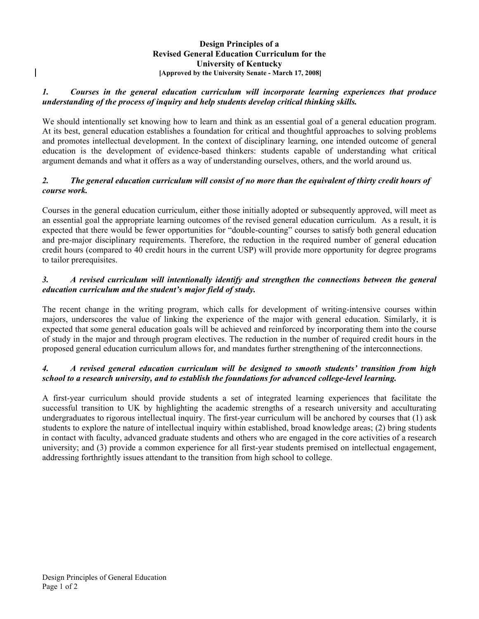#### **Design Principles of a Revised General Education Curriculum for the University of Kentucky [Approved by the University Senate - March 17, 2008]**

### *1. Courses in the general education curriculum will incorporate learning experiences that produce understanding of the process of inquiry and help students develop critical thinking skills.*

We should intentionally set knowing how to learn and think as an essential goal of a general education program. At its best, general education establishes a foundation for critical and thoughtful approaches to solving problems and promotes intellectual development. In the context of disciplinary learning, one intended outcome of general education is the development of evidence-based thinkers: students capable of understanding what critical argument demands and what it offers as a way of understanding ourselves, others, and the world around us.

## 2. The general education curriculum will consist of no more than the equivalent of thirty credit hours of *course work.*

Courses in the general education curriculum, either those initially adopted or subsequently approved, will meet as an essential goal the appropriate learning outcomes of the revised general education curriculum. As a result, it is expected that there would be fewer opportunities for "double-counting" courses to satisfy both general education and pre-major disciplinary requirements. Therefore, the reduction in the required number of general education credit hours (compared to 40 credit hours in the current USP) will provide more opportunity for degree programs to tailor prerequisites.

# *3. A revised curriculum will intentionally identify and strengthen the connections between the general education curriculum and the student's major field of study.*

The recent change in the writing program, which calls for development of writing-intensive courses within majors, underscores the value of linking the experience of the major with general education. Similarly, it is expected that some general education goals will be achieved and reinforced by incorporating them into the course of study in the major and through program electives. The reduction in the number of required credit hours in the proposed general education curriculum allows for, and mandates further strengthening of the interconnections.

### *4. A revised general education curriculum will be designed to smooth students' transition from high school to a research university, and to establish the foundations for advanced college-level learning.*

A first-year curriculum should provide students a set of integrated learning experiences that facilitate the successful transition to UK by highlighting the academic strengths of a research university and acculturating undergraduates to rigorous intellectual inquiry. The first-year curriculum will be anchored by courses that (1) ask students to explore the nature of intellectual inquiry within established, broad knowledge areas; (2) bring students in contact with faculty, advanced graduate students and others who are engaged in the core activities of a research university; and (3) provide a common experience for all first-year students premised on intellectual engagement, addressing forthrightly issues attendant to the transition from high school to college.

 $\mathsf{l}$